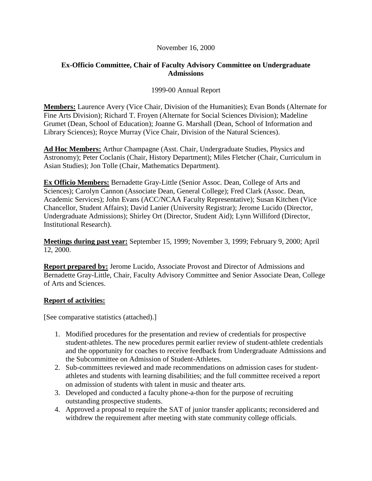## November 16, 2000

## **Ex-Officio Committee, Chair of Faculty Advisory Committee on Undergraduate Admissions**

## 1999-00 Annual Report

**Members:** Laurence Avery (Vice Chair, Division of the Humanities); Evan Bonds (Alternate for Fine Arts Division); Richard T. Froyen (Alternate for Social Sciences Division); Madeline Grumet (Dean, School of Education); Joanne G. Marshall (Dean, School of Information and Library Sciences); Royce Murray (Vice Chair, Division of the Natural Sciences).

**Ad Hoc Members:** Arthur Champagne (Asst. Chair, Undergraduate Studies, Physics and Astronomy); Peter Coclanis (Chair, History Department); Miles Fletcher (Chair, Curriculum in Asian Studies); Jon Tolle (Chair, Mathematics Department).

**Ex Officio Members:** Bernadette Gray-Little (Senior Assoc. Dean, College of Arts and Sciences); Carolyn Cannon (Associate Dean, General College); Fred Clark (Assoc. Dean, Academic Services); John Evans (ACC/NCAA Faculty Representative); Susan Kitchen (Vice Chancellor, Student Affairs); David Lanier (University Registrar); Jerome Lucido (Director, Undergraduate Admissions); Shirley Ort (Director, Student Aid); Lynn Williford (Director, Institutional Research).

**Meetings during past year:** September 15, 1999; November 3, 1999; February 9, 2000; April 12, 2000.

**Report prepared by:** Jerome Lucido, Associate Provost and Director of Admissions and Bernadette Gray-Little, Chair, Faculty Advisory Committee and Senior Associate Dean, College of Arts and Sciences.

## **Report of activities:**

[See comparative statistics (attached).]

- 1. Modified procedures for the presentation and review of credentials for prospective student-athletes. The new procedures permit earlier review of student-athlete credentials and the opportunity for coaches to receive feedback from Undergraduate Admissions and the Subcommittee on Admission of Student-Athletes.
- 2. Sub-committees reviewed and made recommendations on admission cases for studentathletes and students with learning disabilities; and the full committee received a report on admission of students with talent in music and theater arts.
- 3. Developed and conducted a faculty phone-a-thon for the purpose of recruiting outstanding prospective students.
- 4. Approved a proposal to require the SAT of junior transfer applicants; reconsidered and withdrew the requirement after meeting with state community college officials.